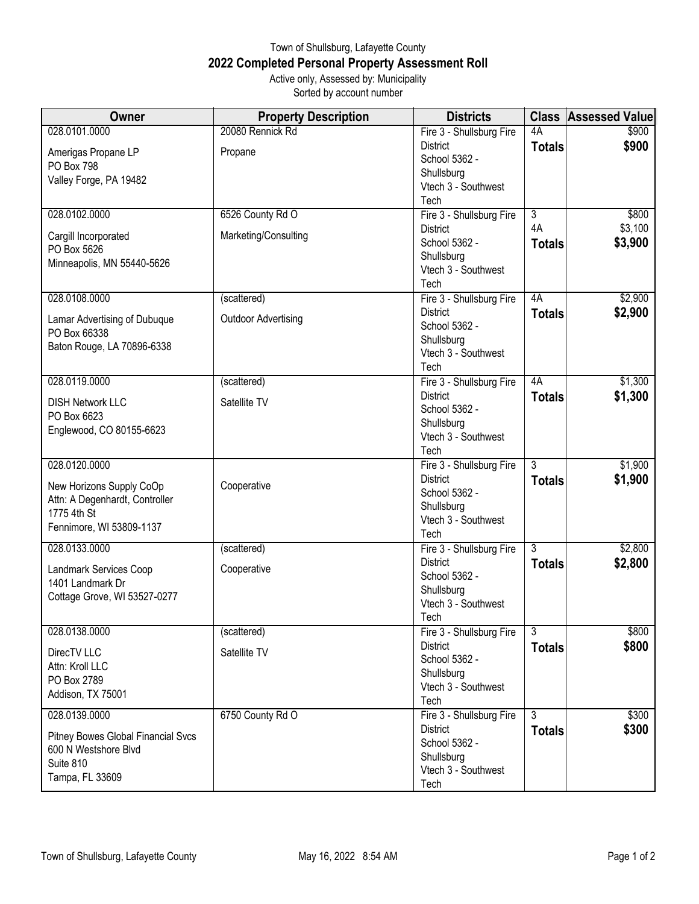## Town of Shullsburg, Lafayette County **2022 Completed Personal Property Assessment Roll** Active only, Assessed by: Municipality

Sorted by account number

| Owner                              | <b>Property Description</b> | <b>Districts</b>                  |                | <b>Class Assessed Value</b> |
|------------------------------------|-----------------------------|-----------------------------------|----------------|-----------------------------|
| 028.0101.0000                      | 20080 Rennick Rd            | Fire 3 - Shullsburg Fire          | 4A             | \$900                       |
| Amerigas Propane LP                | Propane                     | <b>District</b>                   | <b>Totals</b>  | \$900                       |
| PO Box 798                         |                             | School 5362 -                     |                |                             |
| Valley Forge, PA 19482             |                             | Shullsburg                        |                |                             |
|                                    |                             | Vtech 3 - Southwest               |                |                             |
|                                    |                             | Tech                              |                |                             |
| 028.0102.0000                      | 6526 County Rd O            | Fire 3 - Shullsburg Fire          | $\overline{3}$ | \$800                       |
| Cargill Incorporated               | Marketing/Consulting        | <b>District</b>                   | 4A             | \$3,100                     |
| PO Box 5626                        |                             | School 5362 -                     | <b>Totals</b>  | \$3,900                     |
| Minneapolis, MN 55440-5626         |                             | Shullsburg                        |                |                             |
|                                    |                             | Vtech 3 - Southwest               |                |                             |
|                                    |                             | Tech                              |                |                             |
| 028.0108.0000                      | (scattered)                 | Fire 3 - Shullsburg Fire          | 4A             | \$2,900                     |
| Lamar Advertising of Dubuque       | <b>Outdoor Advertising</b>  | <b>District</b>                   | <b>Totals</b>  | \$2,900                     |
| PO Box 66338                       |                             | School 5362 -                     |                |                             |
| Baton Rouge, LA 70896-6338         |                             | Shullsburg                        |                |                             |
|                                    |                             | Vtech 3 - Southwest               |                |                             |
|                                    |                             | Tech                              |                |                             |
| 028.0119.0000                      | (scattered)                 | Fire 3 - Shullsburg Fire          | 4A             | \$1,300                     |
| <b>DISH Network LLC</b>            | Satellite TV                | <b>District</b>                   | <b>Totals</b>  | \$1,300                     |
| PO Box 6623                        |                             | School 5362 -                     |                |                             |
| Englewood, CO 80155-6623           |                             | Shullsburg                        |                |                             |
|                                    |                             | Vtech 3 - Southwest               |                |                             |
|                                    |                             | Tech                              |                |                             |
| 028.0120.0000                      |                             | Fire 3 - Shullsburg Fire          | $\overline{3}$ | \$1,900                     |
| New Horizons Supply CoOp           | Cooperative                 | <b>District</b>                   | <b>Totals</b>  | \$1,900                     |
| Attn: A Degenhardt, Controller     |                             | School 5362 -                     |                |                             |
| 1775 4th St                        |                             | Shullsburg                        |                |                             |
| Fennimore, WI 53809-1137           |                             | Vtech 3 - Southwest               |                |                             |
|                                    |                             | Tech                              |                |                             |
| 028.0133.0000                      | (scattered)                 | Fire 3 - Shullsburg Fire          | $\overline{3}$ | \$2,800                     |
| Landmark Services Coop             | Cooperative                 | <b>District</b>                   | <b>Totals</b>  | \$2,800                     |
| 1401 Landmark Dr                   |                             | School 5362 -                     |                |                             |
| Cottage Grove, WI 53527-0277       |                             | Shullsburg                        |                |                             |
|                                    |                             | Vtech 3 - Southwest               |                |                             |
|                                    |                             | Tech                              |                |                             |
| 028.0138.0000                      | (scattered)                 | Fire 3 - Shullsburg Fire          | $\overline{3}$ | \$800                       |
| DirecTV LLC                        | Satellite TV                | <b>District</b>                   | <b>Totals</b>  | \$800                       |
| Attn: Kroll LLC                    |                             | School 5362 -                     |                |                             |
| PO Box 2789                        |                             | Shullsburg                        |                |                             |
| Addison, TX 75001                  |                             | Vtech 3 - Southwest               |                |                             |
|                                    |                             | Tech                              |                |                             |
| 028.0139.0000                      | 6750 County Rd O            | Fire 3 - Shullsburg Fire          | 3              | \$300                       |
| Pitney Bowes Global Financial Svcs |                             | District                          | <b>Totals</b>  | \$300                       |
| 600 N Westshore Blvd               |                             | School 5362 -                     |                |                             |
| Suite 810                          |                             | Shullsburg<br>Vtech 3 - Southwest |                |                             |
| Tampa, FL 33609                    |                             | Tech                              |                |                             |
|                                    |                             |                                   |                |                             |